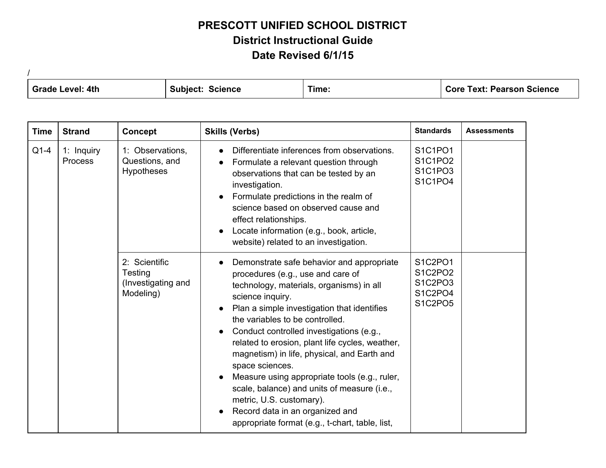/ **Grade Level: 4th Subject: Science Time: Core Text: Pearson Science**

| <b>Time</b> | <b>Strand</b>                | <b>Concept</b>                                              | <b>Skills (Verbs)</b>                                                                                                                                                                                                                                                                                                                                                                                                                                                                                                                                                                                               | <b>Standards</b>                                    | <b>Assessments</b> |
|-------------|------------------------------|-------------------------------------------------------------|---------------------------------------------------------------------------------------------------------------------------------------------------------------------------------------------------------------------------------------------------------------------------------------------------------------------------------------------------------------------------------------------------------------------------------------------------------------------------------------------------------------------------------------------------------------------------------------------------------------------|-----------------------------------------------------|--------------------|
| $Q1-4$      | 1: Inquiry<br><b>Process</b> | 1: Observations,<br>Questions, and<br><b>Hypotheses</b>     | Differentiate inferences from observations.<br>Formulate a relevant question through<br>observations that can be tested by an<br>investigation.<br>Formulate predictions in the realm of<br>science based on observed cause and<br>effect relationships.<br>Locate information (e.g., book, article,<br>website) related to an investigation.                                                                                                                                                                                                                                                                       | S1C1PO1<br>S1C1PO2<br>S1C1PO3<br>S1C1PO4            |                    |
|             |                              | 2: Scientific<br>Testing<br>(Investigating and<br>Modeling) | Demonstrate safe behavior and appropriate<br>procedures (e.g., use and care of<br>technology, materials, organisms) in all<br>science inquiry.<br>Plan a simple investigation that identifies<br>the variables to be controlled.<br>Conduct controlled investigations (e.g.,<br>related to erosion, plant life cycles, weather,<br>magnetism) in life, physical, and Earth and<br>space sciences.<br>Measure using appropriate tools (e.g., ruler,<br>scale, balance) and units of measure (i.e.,<br>metric, U.S. customary).<br>Record data in an organized and<br>appropriate format (e.g., t-chart, table, list, | S1C2PO1<br>S1C2PO2<br>S1C2PO3<br>S1C2PO4<br>S1C2PO5 |                    |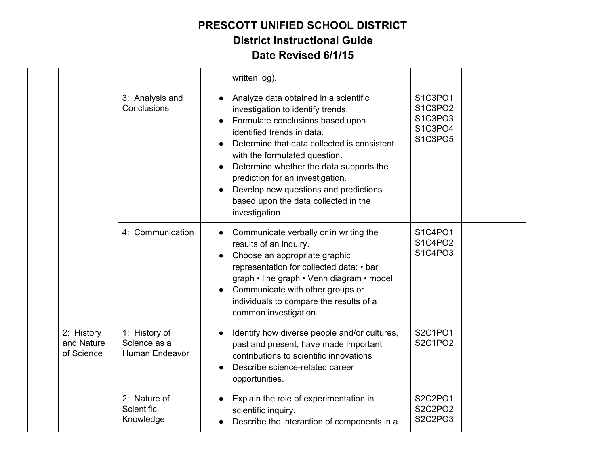|                                        |                                                 | written log).                                                                                                                                                                                                                                                                                                                                                                                                               |                                                     |  |
|----------------------------------------|-------------------------------------------------|-----------------------------------------------------------------------------------------------------------------------------------------------------------------------------------------------------------------------------------------------------------------------------------------------------------------------------------------------------------------------------------------------------------------------------|-----------------------------------------------------|--|
|                                        | 3: Analysis and<br>Conclusions                  | Analyze data obtained in a scientific<br>investigation to identify trends.<br>Formulate conclusions based upon<br>$\bullet$<br>identified trends in data.<br>Determine that data collected is consistent<br>with the formulated question.<br>Determine whether the data supports the<br>prediction for an investigation.<br>Develop new questions and predictions<br>based upon the data collected in the<br>investigation. | S1C3PO1<br>S1C3PO2<br>S1C3PO3<br>S1C3PO4<br>S1C3PO5 |  |
|                                        | 4: Communication                                | Communicate verbally or in writing the<br>results of an inquiry.<br>Choose an appropriate graphic<br>representation for collected data: • bar<br>graph • line graph • Venn diagram • model<br>Communicate with other groups or<br>individuals to compare the results of a<br>common investigation.                                                                                                                          | S1C4PO1<br>S1C4PO2<br>S1C4PO3                       |  |
| 2: History<br>and Nature<br>of Science | 1: History of<br>Science as a<br>Human Endeavor | Identify how diverse people and/or cultures,<br>past and present, have made important<br>contributions to scientific innovations<br>Describe science-related career<br>opportunities.                                                                                                                                                                                                                                       | S2C1PO1<br>S2C1PO2                                  |  |
|                                        | 2: Nature of<br>Scientific<br>Knowledge         | Explain the role of experimentation in<br>$\bullet$<br>scientific inquiry.<br>Describe the interaction of components in a                                                                                                                                                                                                                                                                                                   | S2C2PO1<br>S2C2PO2<br>S2C2PO3                       |  |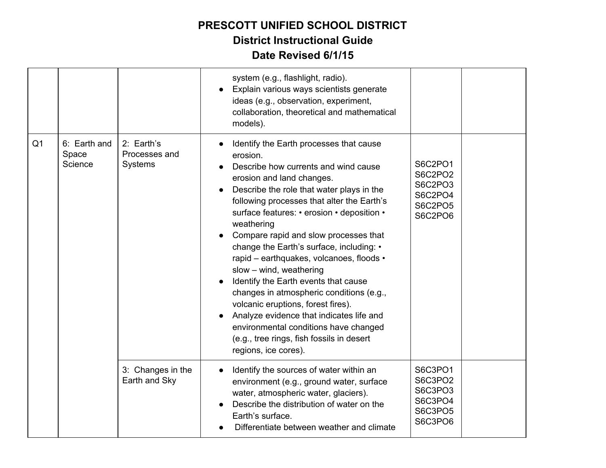|                |                                  |                                        | system (e.g., flashlight, radio).<br>Explain various ways scientists generate<br>ideas (e.g., observation, experiment,<br>collaboration, theoretical and mathematical<br>models).                                                                                                                                                                                                                                                                                                                                                                                                                                                                                                                                               |                                                                |  |
|----------------|----------------------------------|----------------------------------------|---------------------------------------------------------------------------------------------------------------------------------------------------------------------------------------------------------------------------------------------------------------------------------------------------------------------------------------------------------------------------------------------------------------------------------------------------------------------------------------------------------------------------------------------------------------------------------------------------------------------------------------------------------------------------------------------------------------------------------|----------------------------------------------------------------|--|
| Q <sub>1</sub> | 6: Earth and<br>Space<br>Science | 2: Earth's<br>Processes and<br>Systems | Identify the Earth processes that cause<br>erosion.<br>Describe how currents and wind cause<br>erosion and land changes.<br>Describe the role that water plays in the<br>following processes that alter the Earth's<br>surface features: • erosion • deposition •<br>weathering<br>Compare rapid and slow processes that<br>change the Earth's surface, including: •<br>rapid - earthquakes, volcanoes, floods •<br>slow - wind, weathering<br>Identify the Earth events that cause<br>changes in atmospheric conditions (e.g.,<br>volcanic eruptions, forest fires).<br>Analyze evidence that indicates life and<br>environmental conditions have changed<br>(e.g., tree rings, fish fossils in desert<br>regions, ice cores). | S6C2PO1<br>S6C2PO2<br>S6C2PO3<br>S6C2PO4<br>S6C2PO5<br>S6C2PO6 |  |
|                |                                  | 3: Changes in the<br>Earth and Sky     | Identify the sources of water within an<br>$\bullet$<br>environment (e.g., ground water, surface<br>water, atmospheric water, glaciers).<br>Describe the distribution of water on the<br>Earth's surface.<br>Differentiate between weather and climate                                                                                                                                                                                                                                                                                                                                                                                                                                                                          | S6C3PO1<br>S6C3PO2<br>S6C3PO3<br>S6C3PO4<br>S6C3PO5<br>S6C3PO6 |  |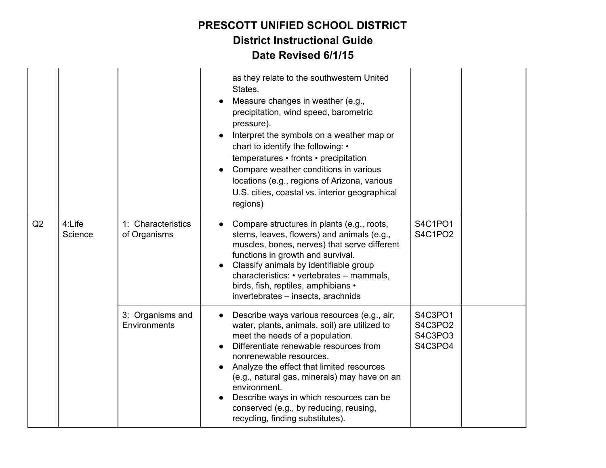|    |                   |                                    | as they relate to the southwestern United<br>States.<br>Measure changes in weather (e.g.,<br>precipitation, wind speed, barometric<br>pressure).<br>Interpret the symbols on a weather map or<br>chart to identify the following: •<br>temperatures • fronts • precipitation<br>Compare weather conditions in various<br>locations (e.g., regions of Arizona, various<br>U.S. cities, coastal vs. interior geographical<br>regions)        |                                          |  |
|----|-------------------|------------------------------------|--------------------------------------------------------------------------------------------------------------------------------------------------------------------------------------------------------------------------------------------------------------------------------------------------------------------------------------------------------------------------------------------------------------------------------------------|------------------------------------------|--|
| Q2 | 4:Life<br>Science | 1: Characteristics<br>of Organisms | Compare structures in plants (e.g., roots,<br>stems, leaves, flowers) and animals (e.g.,<br>muscles, bones, nerves) that serve different<br>functions in growth and survival.<br>Classify animals by identifiable group<br>characteristics: • vertebrates - mammals,<br>birds, fish, reptiles, amphibians •<br>invertebrates - insects, arachnids                                                                                          | S4C1PO1<br>S4C1PO2                       |  |
|    |                   | 3: Organisms and<br>Environments   | Describe ways various resources (e.g., air,<br>water, plants, animals, soil) are utilized to<br>meet the needs of a population.<br>Differentiate renewable resources from<br>nonrenewable resources.<br>Analyze the effect that limited resources<br>(e.g., natural gas, minerals) may have on an<br>environment.<br>Describe ways in which resources can be<br>conserved (e.g., by reducing, reusing,<br>recycling, finding substitutes). | S4C3PO1<br>S4C3PO2<br>S4C3PO3<br>S4C3PO4 |  |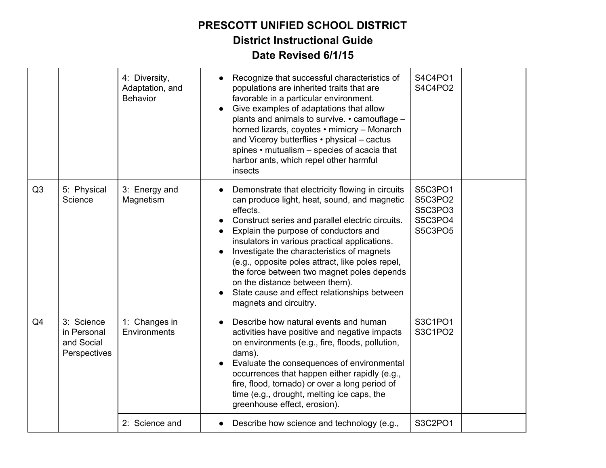|    |                                                         | 4: Diversity,<br>Adaptation, and<br><b>Behavior</b> | Recognize that successful characteristics of<br>populations are inherited traits that are<br>favorable in a particular environment.<br>Give examples of adaptations that allow<br>plants and animals to survive. • camouflage -<br>horned lizards, coyotes • mimicry - Monarch<br>and Viceroy butterflies • physical - cactus<br>spines • mutualism - species of acacia that<br>harbor ants, which repel other harmful<br>insects                                                                                      | S4C4PO1<br>S4C4PO2                                  |  |
|----|---------------------------------------------------------|-----------------------------------------------------|------------------------------------------------------------------------------------------------------------------------------------------------------------------------------------------------------------------------------------------------------------------------------------------------------------------------------------------------------------------------------------------------------------------------------------------------------------------------------------------------------------------------|-----------------------------------------------------|--|
| Q3 | 5: Physical<br>Science                                  | 3: Energy and<br>Magnetism                          | Demonstrate that electricity flowing in circuits<br>can produce light, heat, sound, and magnetic<br>effects.<br>Construct series and parallel electric circuits.<br>Explain the purpose of conductors and<br>insulators in various practical applications.<br>Investigate the characteristics of magnets<br>(e.g., opposite poles attract, like poles repel,<br>the force between two magnet poles depends<br>on the distance between them).<br>State cause and effect relationships between<br>magnets and circuitry. | S5C3PO1<br>S5C3PO2<br>S5C3PO3<br>S5C3PO4<br>S5C3PO5 |  |
| Q4 | 3: Science<br>in Personal<br>and Social<br>Perspectives | 1: Changes in<br>Environments                       | Describe how natural events and human<br>activities have positive and negative impacts<br>on environments (e.g., fire, floods, pollution,<br>dams).<br>Evaluate the consequences of environmental<br>occurrences that happen either rapidly (e.g.,<br>fire, flood, tornado) or over a long period of<br>time (e.g., drought, melting ice caps, the<br>greenhouse effect, erosion).                                                                                                                                     | S3C1PO1<br>S3C1PO2                                  |  |
|    |                                                         | 2: Science and                                      | Describe how science and technology (e.g.,                                                                                                                                                                                                                                                                                                                                                                                                                                                                             | S3C2PO1                                             |  |